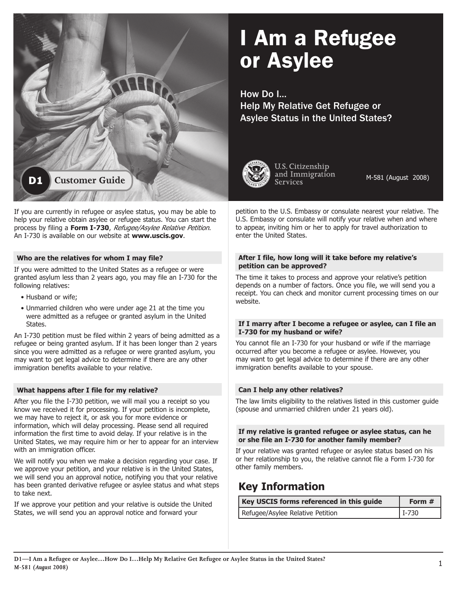# I Am a Refugee or Asylee

How Do I… Help My Relative Get Refugee or Asylee Status in the United States?



U.S. Citizenship and Immigration **Services** 

M-581 (August 2008)

petition to the U.S. Embassy or consulate nearest your relative. The U.S. Embassy or consulate will notify your relative when and where to appear, inviting him or her to apply for travel authorization to enter the United States.

#### **After I file, how long will it take before my relative's petition can be approved?**

The time it takes to process and approve your relative's petition depends on a number of factors. Once you file, we will send you a receipt. You can check and monitor current processing times on our website.

#### **If I marry after I become a refugee or asylee, can I file an I-730 for my husband or wife?**

You cannot file an I-730 for your husband or wife if the marriage occurred after you become a refugee or asylee. However, you may want to get legal advice to determine if there are any other immigration benefits available to your spouse.

# **Can I help any other relatives?**

The law limits eligibility to the relatives listed in this customer guide (spouse and unmarried children under 21 years old).

## **If my relative is granted refugee or asylee status, can he or she file an I-730 for another family member?**

If your relative was granted refugee or asylee status based on his or her relationship to you, the relative cannot file a Form I-730 for other family members.

# **Key Information**

| Key USCIS forms referenced in this guide | Form #   |
|------------------------------------------|----------|
| Refugee/Asylee Relative Petition         | $ I-730$ |



help your relative obtain asylee or refugee status. You can start the process by filing a **Form I-730**, Refugee/Asylee Relative Petition. An I-730 is available on our website at **www.uscis.gov**.

## **Who are the relatives for whom I may file?**

If you were admitted to the United States as a refugee or were granted asylum less than 2 years ago, you may file an I-730 for the following relatives:

- Husband or wife;
- Unmarried children who were under age 21 at the time you were admitted as a refugee or granted asylum in the United States.

An I-730 petition must be filed within 2 years of being admitted as a refugee or being granted asylum. If it has been longer than 2 years since you were admitted as a refugee or were granted asylum, you may want to get legal advice to determine if there are any other immigration benefits available to your relative.

# **What happens after I file for my relative?**

After you file the I-730 petition, we will mail you a receipt so you know we received it for processing. If your petition is incomplete, we may have to reject it, or ask you for more evidence or information, which will delay processing. Please send all required information the first time to avoid delay. If your relative is in the United States, we may require him or her to appear for an interview with an immigration officer.

We will notify you when we make a decision regarding your case. If we approve your petition, and your relative is in the United States, we will send you an approval notice, notifying you that your relative has been granted derivative refugee or asylee status and what steps to take next.

If we approve your petition and your relative is outside the United States, we will send you an approval notice and forward your